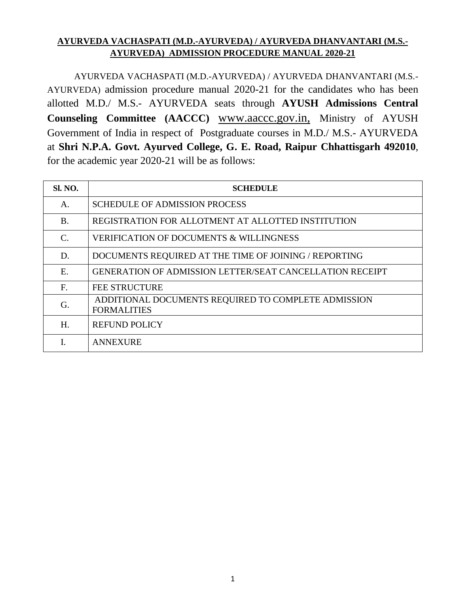### **AYURVEDA VACHASPATI (M.D.-AYURVEDA) / AYURVEDA DHANVANTARI (M.S.- AYURVEDA) ADMISSION PROCEDURE MANUAL 2020-21**

AYURVEDA VACHASPATI (M.D.-AYURVEDA) / AYURVEDA DHANVANTARI (M.S.- AYURVEDA) admission procedure manual 2020-21 for the candidates who has been allotted M.D./ M.S.- AYURVEDA seats through **AYUSH Admissions Central Counseling Committee (AACCC)** [www.aaccc.gov.in,](http://www.aaccc.gov.in/) Ministry of AYUSH Government of India in respect of Postgraduate courses in M.D./ M.S.- AYURVEDA at **Shri N.P.A. Govt. Ayurved College, G. E. Road, Raipur Chhattisgarh 492010**, for the academic year 2020-21 will be as follows:

| <b>Sl. NO.</b> | <b>SCHEDULE</b>                                                           |
|----------------|---------------------------------------------------------------------------|
| A.             | <b>SCHEDULE OF ADMISSION PROCESS</b>                                      |
| <b>B.</b>      | REGISTRATION FOR ALLOTMENT AT ALLOTTED INSTITUTION                        |
| C.             | <b>VERIFICATION OF DOCUMENTS &amp; WILLINGNESS</b>                        |
| D.             | DOCUMENTS REQUIRED AT THE TIME OF JOINING / REPORTING                     |
| Ε.             | <b>GENERATION OF ADMISSION LETTER/SEAT CANCELLATION RECEIPT</b>           |
| F.             | <b>FEE STRUCTURE</b>                                                      |
| G.             | ADDITIONAL DOCUMENTS REQUIRED TO COMPLETE ADMISSION<br><b>FORMALITIES</b> |
| H.             | <b>REFUND POLICY</b>                                                      |
|                | <b>ANNEXURE</b>                                                           |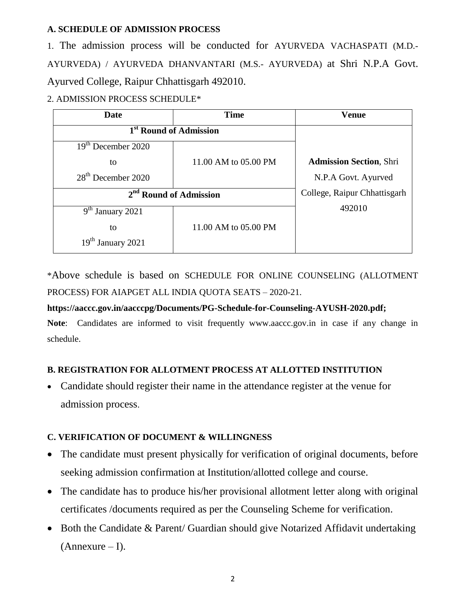### **A. SCHEDULE OF ADMISSION PROCESS**

1. The admission process will be conducted for AYURVEDA VACHASPATI (M.D.- AYURVEDA) / AYURVEDA DHANVANTARI (M.S.- AYURVEDA) at Shri N.P.A Govt. Ayurved College, Raipur Chhattisgarh 492010.

### 2. ADMISSION PROCESS SCHEDULE\*

| Date                               | <b>Time</b>                  | <b>Venue</b>                   |
|------------------------------------|------------------------------|--------------------------------|
| 1 <sup>st</sup> Round of Admission |                              |                                |
| 19 <sup>th</sup> December 2020     |                              |                                |
| to                                 | 11.00 AM to 05.00 PM         | <b>Admission Section, Shri</b> |
| $28th$ December 2020               |                              | N.P.A Govt. Ayurved            |
| 2 <sup>nd</sup> Round of Admission | College, Raipur Chhattisgarh |                                |
| $9th$ January 2021                 |                              | 492010                         |
| to                                 | 11.00 AM to 05.00 PM         |                                |
| 19 <sup>th</sup> January 2021      |                              |                                |

\*Above schedule is based on SCHEDULE FOR ONLINE COUNSELING (ALLOTMENT PROCESS) FOR AIAPGET ALL INDIA QUOTA SEATS – 2020-21.

### **https://aaccc.gov.in/aacccpg/Documents/PG-Schedule-for-Counseling-AYUSH-2020.pdf;**

**Note**: Candidates are informed to visit frequently www.aaccc.gov.in in case if any change in schedule.

### **B. REGISTRATION FOR ALLOTMENT PROCESS AT ALLOTTED INSTITUTION**

 Candidate should register their name in the attendance register at the venue for admission process.

## **C. VERIFICATION OF DOCUMENT & WILLINGNESS**

- The candidate must present physically for verification of original documents, before seeking admission confirmation at Institution/allotted college and course.
- The candidate has to produce his/her provisional allotment letter along with original certificates /documents required as per the Counseling Scheme for verification.
- Both the Candidate & Parent/ Guardian should give Notarized Affidavit undertaking  $(Annexure - I).$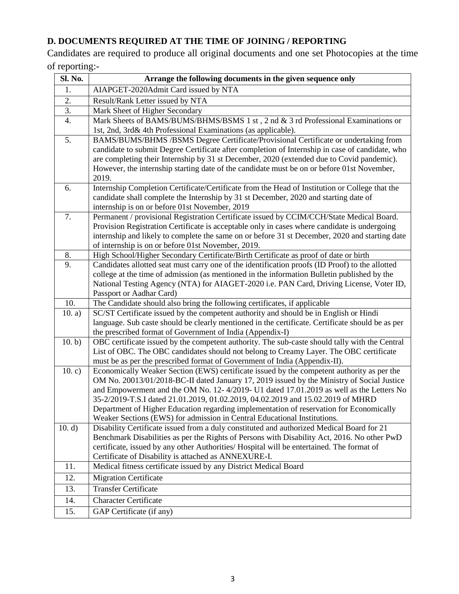# **D. DOCUMENTS REQUIRED AT THE TIME OF JOINING / REPORTING**

Candidates are required to produce all original documents and one set Photocopies at the time of reporting:-

| Sl. No.          | Arrange the following documents in the given sequence only                                                                                                                 |  |
|------------------|----------------------------------------------------------------------------------------------------------------------------------------------------------------------------|--|
| 1.               | AIAPGET-2020Admit Card issued by NTA                                                                                                                                       |  |
| 2.               | Result/Rank Letter issued by NTA                                                                                                                                           |  |
| 3.               | Mark Sheet of Higher Secondary                                                                                                                                             |  |
| $\overline{4}$ . | Mark Sheets of BAMS/BUMS/BHMS/BSMS 1 st, 2 nd & 3 rd Professional Examinations or                                                                                          |  |
|                  | 1st, 2nd, 3rd& 4th Professional Examinations (as applicable).                                                                                                              |  |
| 5.               | BAMS/BUMS/BHMS /BSMS Degree Certificate/Provisional Certificate or undertaking from                                                                                        |  |
|                  | candidate to submit Degree Certificate after completion of Internship in case of candidate, who                                                                            |  |
|                  | are completing their Internship by 31 st December, 2020 (extended due to Covid pandemic).                                                                                  |  |
|                  | However, the internship starting date of the candidate must be on or before 01st November,                                                                                 |  |
|                  | 2019.                                                                                                                                                                      |  |
| 6.               | Internship Completion Certificate/Certificate from the Head of Institution or College that the                                                                             |  |
|                  | candidate shall complete the Internship by 31 st December, 2020 and starting date of                                                                                       |  |
|                  | internship is on or before 01st November, 2019                                                                                                                             |  |
| 7.               | Permanent / provisional Registration Certificate issued by CCIM/CCH/State Medical Board.                                                                                   |  |
|                  | Provision Registration Certificate is acceptable only in cases where candidate is undergoing                                                                               |  |
|                  | internship and likely to complete the same on or before 31 st December, 2020 and starting date                                                                             |  |
| 8.               | of internship is on or before 01st November, 2019.<br>High School/Higher Secondary Certificate/Birth Certificate as proof of date or birth                                 |  |
| 9.               | Candidates allotted seat must carry one of the identification proofs (ID Proof) to the allotted                                                                            |  |
|                  | college at the time of admission (as mentioned in the information Bulletin published by the                                                                                |  |
|                  | National Testing Agency (NTA) for AIAGET-2020 i.e. PAN Card, Driving License, Voter ID,                                                                                    |  |
|                  | Passport or Aadhar Card)                                                                                                                                                   |  |
| 10.              | The Candidate should also bring the following certificates, if applicable                                                                                                  |  |
| 10. a)           | SC/ST Certificate issued by the competent authority and should be in English or Hindi                                                                                      |  |
|                  | language. Sub caste should be clearly mentioned in the certificate. Certificate should be as per                                                                           |  |
|                  | the prescribed format of Government of India (Appendix-I)                                                                                                                  |  |
| 10. b)           | OBC certificate issued by the competent authority. The sub-caste should tally with the Central                                                                             |  |
|                  | List of OBC. The OBC candidates should not belong to Creamy Layer. The OBC certificate                                                                                     |  |
|                  | must be as per the prescribed format of Government of India (Appendix-II).                                                                                                 |  |
| 10.c             | Economically Weaker Section (EWS) certificate issued by the competent authority as per the                                                                                 |  |
|                  | OM No. 20013/01/2018-BC-II dated January 17, 2019 issued by the Ministry of Social Justice                                                                                 |  |
|                  | and Empowerment and the OM No. 12-4/2019- U1 dated 17.01.2019 as well as the Letters No                                                                                    |  |
|                  | 35-2/2019-T.S.I dated 21.01.2019, 01.02.2019, 04.02.2019 and 15.02.2019 of MHRD<br>Department of Higher Education regarding implementation of reservation for Economically |  |
|                  | Weaker Sections (EWS) for admission in Central Educational Institutions.                                                                                                   |  |
| 10. d)           | Disability Certificate issued from a duly constituted and authorized Medical Board for 21                                                                                  |  |
|                  | Benchmark Disabilities as per the Rights of Persons with Disability Act, 2016. No other PwD                                                                                |  |
|                  | certificate, issued by any other Authorities/ Hospital will be entertained. The format of                                                                                  |  |
|                  | Certificate of Disability is attached as ANNEXURE-I.                                                                                                                       |  |
| 11.              | Medical fitness certificate issued by any District Medical Board                                                                                                           |  |
| 12.              | <b>Migration Certificate</b>                                                                                                                                               |  |
| 13.              | <b>Transfer Certificate</b>                                                                                                                                                |  |
| 14.              | <b>Character Certificate</b>                                                                                                                                               |  |
| 15.              | GAP Certificate (if any)                                                                                                                                                   |  |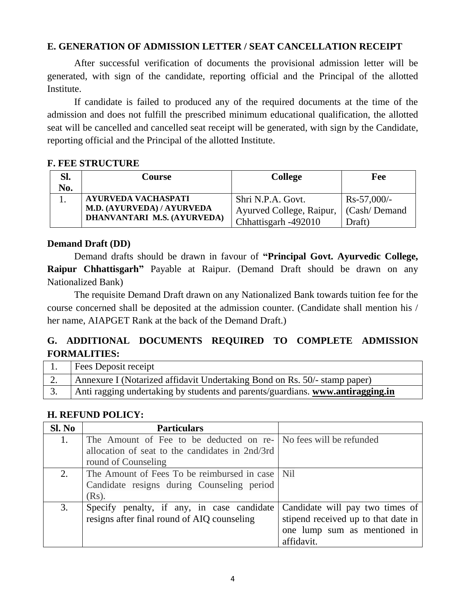### **E. GENERATION OF ADMISSION LETTER / SEAT CANCELLATION RECEIPT**

After successful verification of documents the provisional admission letter will be generated, with sign of the candidate, reporting official and the Principal of the allotted Institute.

If candidate is failed to produced any of the required documents at the time of the admission and does not fulfill the prescribed minimum educational qualification, the allotted seat will be cancelled and cancelled seat receipt will be generated, with sign by the Candidate, reporting official and the Principal of the allotted Institute.

### **F. FEE STRUCTURE**

| Sl. | Course                      | <b>College</b>           | Fee           |
|-----|-----------------------------|--------------------------|---------------|
| No. |                             |                          |               |
|     | <b>AYURVEDA VACHASPATI</b>  | Shri N.P.A. Govt.        | $Rs-57,000/-$ |
|     | M.D. (AYURVEDA) / AYURVEDA  | Ayurved College, Raipur, | (Cash/Demand) |
|     | DHANVANTARI M.S. (AYURVEDA) | Chhattisgarh -492010     | Draft)        |

### **Demand Draft (DD)**

Demand drafts should be drawn in favour of **"Principal Govt. Ayurvedic College, Raipur Chhattisgarh"** Payable at Raipur. (Demand Draft should be drawn on any Nationalized Bank)

The requisite Demand Draft drawn on any Nationalized Bank towards tuition fee for the course concerned shall be deposited at the admission counter. (Candidate shall mention his / her name, AIAPGET Rank at the back of the Demand Draft.)

# **G. ADDITIONAL DOCUMENTS REQUIRED TO COMPLETE ADMISSION FORMALITIES:**

| <b>Fees Deposit receipt</b>                                                    |
|--------------------------------------------------------------------------------|
| Annexure I (Notarized affidavit Undertaking Bond on Rs. 50/- stamp paper)      |
| Anti ragging undertaking by students and parents/guardians. www.antiragging.in |

### **H. REFUND POLICY:**

| Sl. No | <b>Particulars</b>                                               |                                     |
|--------|------------------------------------------------------------------|-------------------------------------|
| 1.     | The Amount of Fee to be deducted on re- No fees will be refunded |                                     |
|        | allocation of seat to the candidates in 2nd/3rd                  |                                     |
|        | round of Counseling                                              |                                     |
| 2.     | The Amount of Fees To be reimbursed in case   Nil                |                                     |
|        | Candidate resigns during Counseling period                       |                                     |
|        | $(Rs)$ .                                                         |                                     |
| 3.     | Specify penalty, if any, in case candidate                       | Candidate will pay two times of     |
|        | resigns after final round of AIQ counseling                      | stipend received up to that date in |
|        |                                                                  | one lump sum as mentioned in        |
|        |                                                                  | affidavit.                          |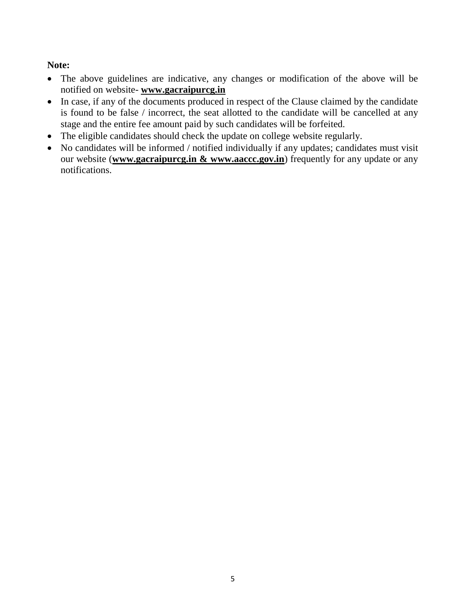# **Note:**

- The above guidelines are indicative, any changes or modification of the above will be notified on website- **www.gacraipurcg.in**
- In case, if any of the documents produced in respect of the Clause claimed by the candidate is found to be false / incorrect, the seat allotted to the candidate will be cancelled at any stage and the entire fee amount paid by such candidates will be forfeited.
- The eligible candidates should check the update on college website regularly.
- No candidates will be informed / notified individually if any updates; candidates must visit our website (**www.gacraipurcg.in & www.aaccc.gov.in**) frequently for any update or any notifications.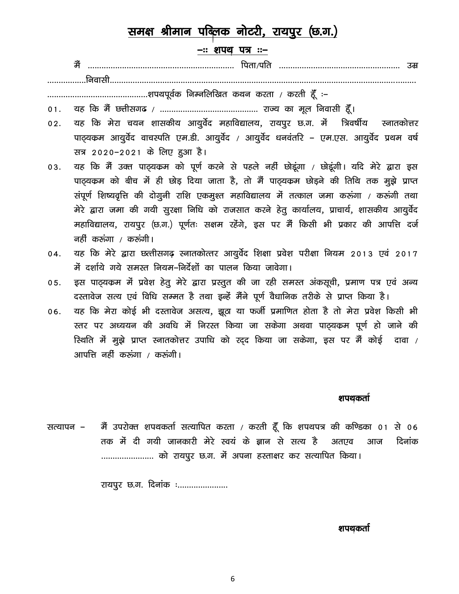# समक्ष श्रीमान पब्लिक नोटरी, रायपुर (छ.ग.)

### -:: शपथ पत्र :--

# 

- $01.$
- यह कि मेरा चयन शासकीय आयुर्वेद महाविद्यालय, रायपुर छ.ग. में त्रिवर्षीय  $02.$ स्नातकोत्तर पाठ्यकम आयुर्वेद वाचस्पति एम.डी. आयुर्वेद / आयुर्वेद धनवंतरि - एम.एस. आयुर्वेद प्रथम वर्ष सत्र 2020-2021 के लिए हुआ है।
- यह कि मैं उक्त पाठ्यक्रम को पूर्ण करने से पहले नहीं छोडूंगा / छोडूंगी। यदि मेरे द्वारा इस 03. पाठ्यकम को बीच में ही छोड़ दिया जाता है, तो मैं पाठ्यकम छोड़ने की तिथि तक मुझे प्राप्त संपूर्ण शिष्यवृत्ति की दोगूनी राशि एकमूश्त महाविद्यालय में तत्काल जमा करुंगा / करुंगी तथा मेरे द्वारा जमा की गयी सुरक्षा निधि को राजसात करने हेतु कार्यालय, प्राचार्य, शासकीय आयुर्वेद महाविद्यालय, रायपुर (छ.ग.) पूर्णतः सक्षम रहेंगे, इस पर मैं किसी भी प्रकार की आपत्ति दर्ज नहीं करूंगा / करूंगी।
- यह कि मेरे द्वारा छत्तीसगढ़ स्नातकोत्तर आयुर्वेद शिक्षा प्रवेश परीक्षा नियम 2013 एवं 2017  $04.$ में दर्शाये गये समस्त नियम-निर्देशों का पालन किया जावेगा।
- इस पाढ़यकम में प्रवेश हेतू मेरे द्वारा प्रस्तुत की जा रही समस्त अंकसूची, प्रमाण पत्र एवं अन्य  $05.$ दस्तावेज सत्य एवं विधि सम्मत है तथा इन्हें मैंने पूर्ण वैधानिक तरीके से प्राप्त किया है।
- यह कि मेरा कोई भी दस्तावेज असत्य, झूठा या फर्जी प्रमाणित होता है तो मेरा प्रवेश किसी भी 06. स्तर पर अध्ययन की अवधि में निरस्त किया जा सकेगा अथवा पाट्यकम पूर्ण हो जाने की रिथति में मुझे प्राप्त स्नातकोत्तर उपाधि को रद्द किया जा सकेगा, इस पर मैं कोई दावा / आपत्ति नहीं करूंगा / करूंगी।

#### शपथकर्ता

मैं उपरोक्त शपथकर्ता सत्यापित करता / करती हूँ कि शपथपत्र की कण्डिका 01 से 06 सत्यापन – तक में दी गयी जानकारी मेरे स्वयं के ज्ञान से सत्य है अतएव आज दिनांक ....................... को रायपुर छ.ग. में अपना हस्ताक्षर कर सत्यापित किया।

रायपूर छ.ग. दिनांक :.....................

#### शपथकर्ता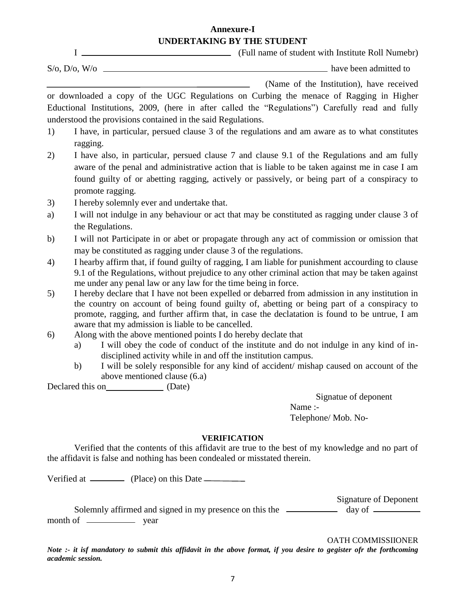### **Annexure-I UNDERTAKING BY THE STUDENT**

I (Full name of student with Institute Roll Numebr)

 $S/O$ ,  $D/O$ ,  $W/O$   $\longrightarrow$ 

(Name of the Institution), have received

or downloaded a copy of the UGC Regulations on Curbing the menace of Ragging in Higher Eductional Institutions, 2009, (here in after called the "Regulations") Carefully read and fully understood the provisions contained in the said Regulations.

- 1) I have, in particular, persued clause 3 of the regulations and am aware as to what constitutes ragging.
- 2) I have also, in particular, persued clause 7 and clause 9.1 of the Regulations and am fully aware of the penal and administrative action that is liable to be taken against me in case I am found guilty of or abetting ragging, actively or passively, or being part of a conspiracy to promote ragging.
- 3) I hereby solemnly ever and undertake that.
- a) I will not indulge in any behaviour or act that may be constituted as ragging under clause 3 of the Regulations.
- b) I will not Participate in or abet or propagate through any act of commission or omission that may be constituted as ragging under clause 3 of the regulations.
- 4) I hearby affirm that, if found guilty of ragging, I am liable for punishment accourding to clause 9.1 of the Regulations, without prejudice to any other criminal action that may be taken against me under any penal law or any law for the time being in force.
- 5) I hereby declare that I have not been expelled or debarred from admission in any institution in the country on account of being found guilty of, abetting or being part of a conspiracy to promote, ragging, and further affirm that, in case the declatation is found to be untrue, I am aware that my admission is liable to be cancelled.
- 6) Along with the above mentioned points I do hereby declate that
	- a) I will obey the code of conduct of the institute and do not indulge in any kind of indisciplined activity while in and off the institution campus.
	- b) I will be solely responsible for any kind of accident/ mishap caused on account of the above mentioned clause (6.a)

Declared this on (Date)

Signatue of deponent Name :- Telephone/ Mob. No-

### **VERIFICATION**

Verified that the contents of this affidavit are true to the best of my knowledge and no part of the affidavit is false and nothing has been condealed or misstated therein.

Verified at \_\_\_\_\_\_\_\_\_\_\_ (Place) on this Date \_\_\_\_\_\_\_\_\_\_\_

Signature of Deponent

Solemnly affirmed and signed in my presence on this the  $\frac{d}{dx}$  day of  $\frac{d}{dx}$ month of wear

OATH COMMISSIIONER

*Note :- it isf mandatory to submit this affidavit in the above format, if you desire to gegister ofr the forthcoming academic session.*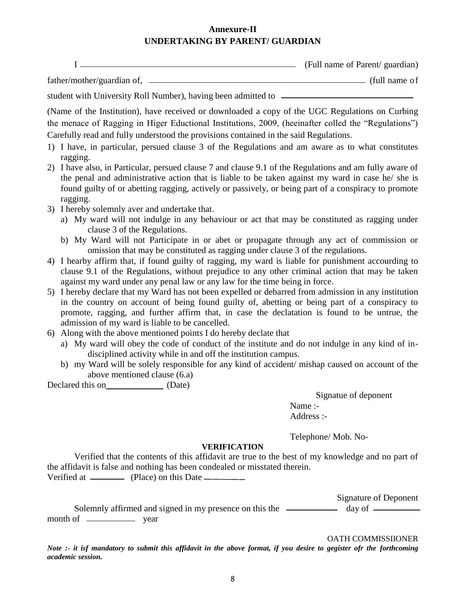### **Annexure-II UNDERTAKING BY PARENT/ GUARDIAN**

| (Full name of Parent/ guardian) |
|---------------------------------|
|                                 |

father/mother/guardian of, (full name of

student with University Roll Number), having been admitted to

(Name of the Institution), have received or downloaded a copy of the UGC Regulations on Curbing the menace of Ragging in Higer Eductional Institutions, 2009, (heeinafter colled the "Regulations") Carefully read and fully understood the provisions contained in the said Regulations.

- 1) I have, in particular, persued clause 3 of the Regulations and am aware as to what constitutes ragging.
- 2) I have also, in Particular, persued clause 7 and clause 9.1 of the Regulations and am fully aware of the penal and administrative action that is liable to be taken against my ward in case he/ she is found guilty of or abetting ragging, actively or passively, or being part of a conspiracy to promote ragging.
- 3) I hereby solemnly aver and undertake that.
	- a) My ward will not indulge in any behaviour or act that may be constituted as ragging under clause 3 of the Regulations.
	- b) My Ward will not Participate in or abet or propagate through any act of commission or omission that may be constituted as ragging under clause 3 of the regulations.
- 4) I hearby affirm that, if found guilty of ragging, my ward is liable for punishment accourding to clause 9.1 of the Regulations, without prejudice to any other criminal action that may be taken against my ward under any penal law or any law for the time being in force.
- 5) I hereby declare that my Ward has not been expelled or debarred from admission in any institution in the country on account of being found guilty of, abetting or being part of a conspiracy to promote, ragging, and further affirm that, in case the declatation is found to be untrue, the admission of my ward is liable to be cancelled.
- 6) Along with the above mentioned points I do hereby declate that
	- a) My ward will obey the code of conduct of the institute and do not indulge in any kind of indisciplined activity while in and off the institution campus.
	- b) my Ward will be solely responsible for any kind of accident/ mishap caused on account of the above mentioned clause (6.a)

Declared this on (Date)

Signatue of deponent Name :- Address :-

Telephone/ Mob. No-

## **VERIFICATION**

Verified that the contents of this affidavit are true to the best of my knowledge and no part of the affidavit is false and nothing has been condealed or misstated therein. Verified at \_\_\_\_\_\_\_\_\_\_ (Place) on this Date \_\_\_\_\_\_\_\_\_\_

Signature of Deponent Solemnly affirmed and signed in my presence on this the  $\frac{1}{2}$  day of  $\frac{1}{2}$ month of wear

OATH COMMISSIIONER

*Note :- it isf mandatory to submit this affidavit in the above format, if you desire to gegister ofr the forthcoming academic session.*